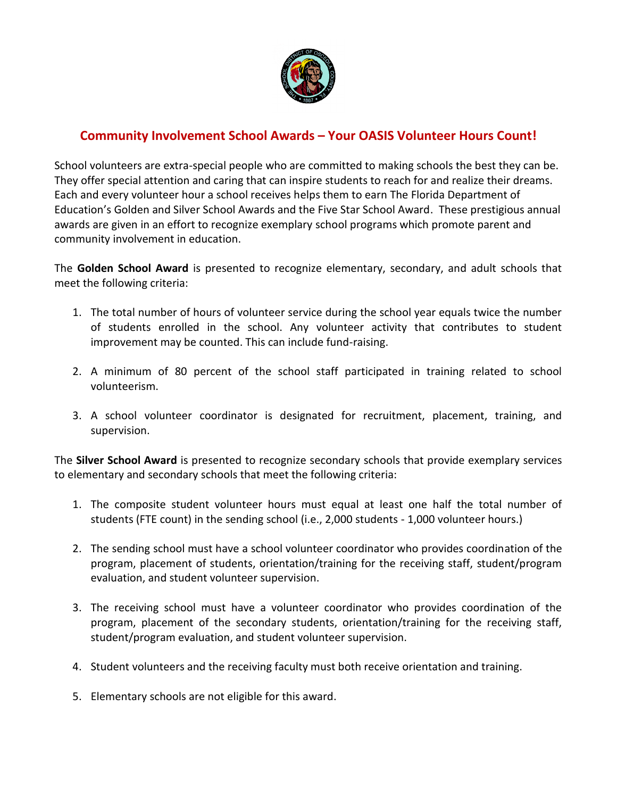

## **Community Involvement School Awards – Your OASIS Volunteer Hours Count!**

School volunteers are extra-special people who are committed to making schools the best they can be. They offer special attention and caring that can inspire students to reach for and realize their dreams. Each and every volunteer hour a school receives helps them to earn The Florida Department of Education's Golden and Silver School Awards and the Five Star School Award. These prestigious annual awards are given in an effort to recognize exemplary school programs which promote parent and community involvement in education.

The **Golden School Award** is presented to recognize elementary, secondary, and adult schools that meet the following criteria:

- 1. The total number of hours of volunteer service during the school year equals twice the number of students enrolled in the school. Any volunteer activity that contributes to student improvement may be counted. This can include fund-raising.
- 2. A minimum of 80 percent of the school staff participated in training related to school volunteerism.
- 3. A school volunteer coordinator is designated for recruitment, placement, training, and supervision.

The **Silver School Award** is presented to recognize secondary schools that provide exemplary services to elementary and secondary schools that meet the following criteria:

- 1. The composite student volunteer hours must equal at least one half the total number of students (FTE count) in the sending school (i.e., 2,000 students - 1,000 volunteer hours.)
- 2. The sending school must have a school volunteer coordinator who provides coordination of the program, placement of students, orientation/training for the receiving staff, student/program evaluation, and student volunteer supervision.
- 3. The receiving school must have a volunteer coordinator who provides coordination of the program, placement of the secondary students, orientation/training for the receiving staff, student/program evaluation, and student volunteer supervision.
- 4. Student volunteers and the receiving faculty must both receive orientation and training.
- 5. Elementary schools are not eligible for this award.